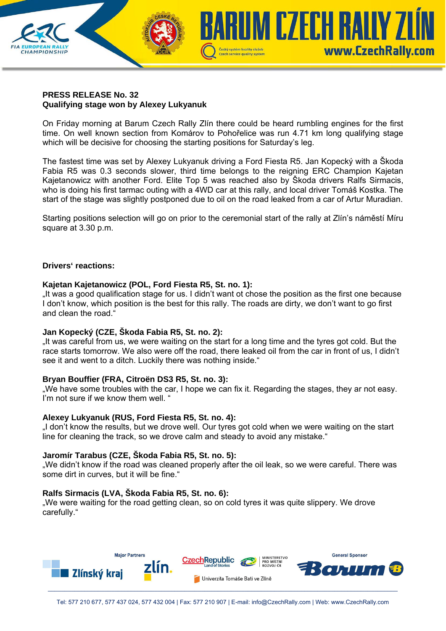## **PRESS RELEASE No. 32 Qualifying stage won by Alexey Lukyanuk**

On Friday morning at Barum Czech Rally Zlín there could be heard rumbling engines for the first time. On well known section from Komárov to Pohořelice was run 4.71 km long qualifying stage which will be decisive for choosing the starting positions for Saturday's leg.

Czech service quality system

**IUM CZECH RALIY ZI** 

www.CzechRally.com

The fastest time was set by Alexey Lukyanuk driving a Ford Fiesta R5. Jan Kopecký with a Škoda Fabia R5 was 0.3 seconds slower, third time belongs to the reigning ERC Champion Kajetan Kajetanowicz with another Ford. Elite Top 5 was reached also by Škoda drivers Ralfs Sirmacis, who is doing his first tarmac outing with a 4WD car at this rally, and local driver Tomáš Kostka. The start of the stage was slightly postponed due to oil on the road leaked from a car of Artur Muradian.

Starting positions selection will go on prior to the ceremonial start of the rally at Zlín's náměstí Míru square at 3.30 p.m.

#### **Drivers' reactions:**

**CHAMPIONSHIP** 

#### **Kajetan Kajetanowicz (POL, Ford Fiesta R5, St. no. 1):**

"It was a good qualification stage for us. I didn't want ot chose the position as the first one because I don't know, which position is the best for this rally. The roads are dirty, we don't want to go first and clean the road."

#### **Jan Kopecký (CZE, Škoda Fabia R5, St. no. 2):**

"It was careful from us, we were waiting on the start for a long time and the tyres got cold. But the race starts tomorrow. We also were off the road, there leaked oil from the car in front of us, I didn't see it and went to a ditch. Luckily there was nothing inside."

#### **Bryan Bouffier (FRA, Citroën DS3 R5, St. no. 3):**

..We have some troubles with the car, I hope we can fix it. Regarding the stages, they ar not easy. I'm not sure if we know them well. "

#### **Alexey Lukyanuk (RUS, Ford Fiesta R5, St. no. 4):**

"I don't know the results, but we drove well. Our tyres got cold when we were waiting on the start line for cleaning the track, so we drove calm and steady to avoid any mistake."

#### **Jaromír Tarabus (CZE, Škoda Fabia R5, St. no. 5):**

"We didn't know if the road was cleaned properly after the oil leak, so we were careful. There was some dirt in curves, but it will be fine."

#### **Ralfs Sirmacis (LVA, Škoda Fabia R5, St. no. 6):**

"We were waiting for the road getting clean, so on cold tyres it was quite slippery. We drove carefully."